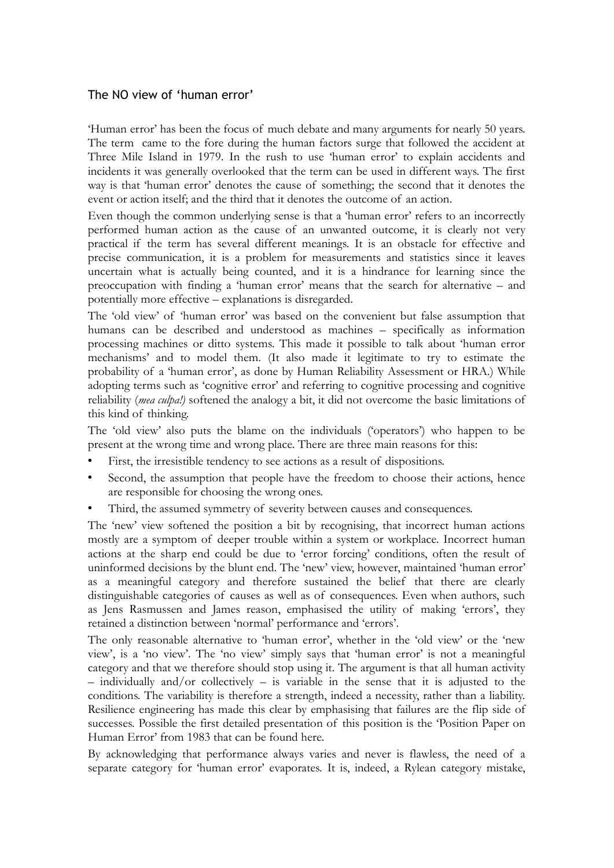## The NO view of 'human error'

'Human error' has been the focus of much debate and many arguments for nearly 50 years. The term came to the fore during the human factors surge that followed the accident at Three Mile Island in 1979. In the rush to use 'human error' to explain accidents and incidents it was generally overlooked that the term can be used in different ways. The first way is that 'human error' denotes the cause of something; the second that it denotes the event or action itself; and the third that it denotes the outcome of an action.

Even though the common underlying sense is that a 'human error' refers to an incorrectly performed human action as the cause of an unwanted outcome, it is clearly not very practical if the term has several different meanings. It is an obstacle for effective and precise communication, it is a problem for measurements and statistics since it leaves uncertain what is actually being counted, and it is a hindrance for learning since the preoccupation with finding a 'human error' means that the search for alternative – and potentially more effective – explanations is disregarded.

The 'old view' of 'human error' was based on the convenient but false assumption that humans can be described and understood as machines – specifically as information processing machines or ditto systems. This made it possible to talk about 'human error mechanisms' and to model them. (It also made it legitimate to try to estimate the probability of a 'human error', as done by Human Reliability Assessment or HRA.) While adopting terms such as 'cognitive error' and referring to cognitive processing and cognitive reliability (*mea culpa!)* softened the analogy a bit, it did not overcome the basic limitations of this kind of thinking.

The 'old view' also puts the blame on the individuals ('operators') who happen to be present at the wrong time and wrong place. There are three main reasons for this:

- First, the irresistible tendency to see actions as a result of dispositions.
- Second, the assumption that people have the freedom to choose their actions, hence are responsible for choosing the wrong ones.
- Third, the assumed symmetry of severity between causes and consequences.

The 'new' view softened the position a bit by recognising, that incorrect human actions mostly are a symptom of deeper trouble within a system or workplace. Incorrect human actions at the sharp end could be due to 'error forcing' conditions, often the result of uninformed decisions by the blunt end. The 'new' view, however, maintained 'human error' as a meaningful category and therefore sustained the belief that there are clearly distinguishable categories of causes as well as of consequences. Even when authors, such as Jens Rasmussen and James reason, emphasised the utility of making 'errors', they retained a distinction between 'normal' performance and 'errors'.

The only reasonable alternative to 'human error', whether in the 'old view' or the 'new view', is a 'no view'. The 'no view' simply says that 'human error' is not a meaningful category and that we therefore should stop using it. The argument is that all human activity  $-$  individually and/or collectively  $-$  is variable in the sense that it is adjusted to the conditions. The variability is therefore a strength, indeed a necessity, rather than a liability. Resilience engineering has made this clear by emphasising that failures are the flip side of successes. Possible the first detailed presentation of this position is the 'Position Paper on Human Error' from 1983 that can be found here.

By acknowledging that performance always varies and never is flawless, the need of a separate category for 'human error' evaporates. It is, indeed, a Rylean category mistake,